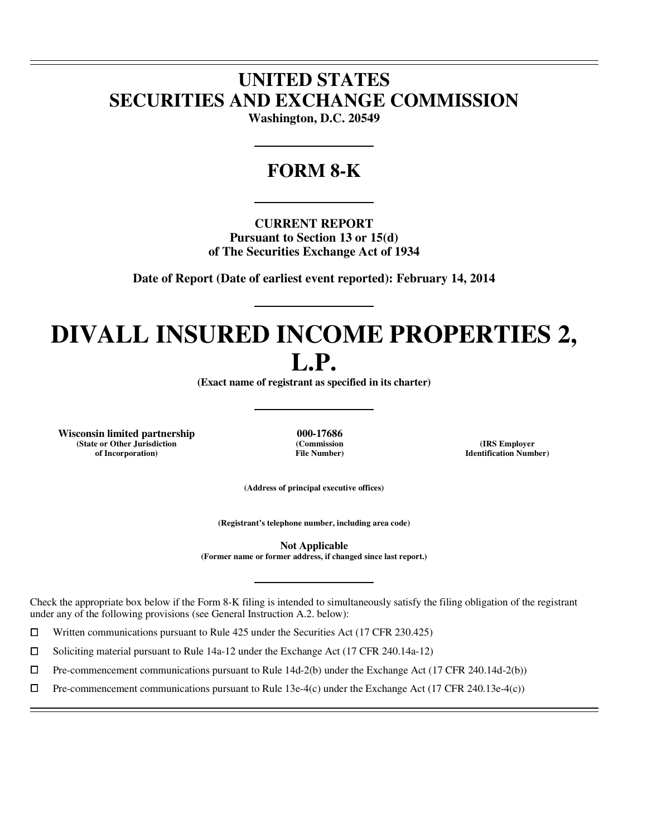# **UNITED STATES SECURITIES AND EXCHANGE COMMISSION**

**Washington, D.C. 20549** 

# **FORM 8-K**

**CURRENT REPORT Pursuant to Section 13 or 15(d) of The Securities Exchange Act of 1934** 

**Date of Report (Date of earliest event reported): February 14, 2014** 

# **DIVALL INSURED INCOME PROPERTIES 2, L.P.**

**(Exact name of registrant as specified in its charter)** 

**Wisconsin limited partnership 000-17686 (State or Other Jurisdiction of Incorporation)**

 $\overline{a}$  $\overline{a}$ 

 $\overline{a}$ 

**(Commission File Number)**

**(IRS Employer Identification Number)**

**(Address of principal executive offices)** 

**(Registrant's telephone number, including area code)** 

**Not Applicable (Former name or former address, if changed since last report.)** 

Check the appropriate box below if the Form 8-K filing is intended to simultaneously satisfy the filing obligation of the registrant under any of the following provisions (see General Instruction A.2. below):

 $□$  Written communications pursuant to Rule 425 under the Securities Act (17 CFR 230.425)<br>
□ Soliciting material pursuant to Rule 14a-12 under the Exchange Act (17 CFR 240.14a-12)

<p>\n 7 Soliciting material pursuit to Rule 14a-12 under the Exchange Act (17 CFR 240.14a-12)\n 10 Pre-component communications pursuit to Rule 14d-2(b) under the Exchange Act (17 CFR 240.14a-12)\n</p>

 $\Box$  Pre-commencement communications pursuant to Rule 14d-2(b) under the Exchange Act (17 CFR 240.14d-2(b))<br>  $\Box$  Pre-commencement communications pursuant to Rule 13e-4(c) under the Exchange Act (17 CFR 240.13e-4(c))

Pre-commencement communications pursuant to Rule 13e-4(c) under the Exchange Act (17 CFR 240.13e-4(c))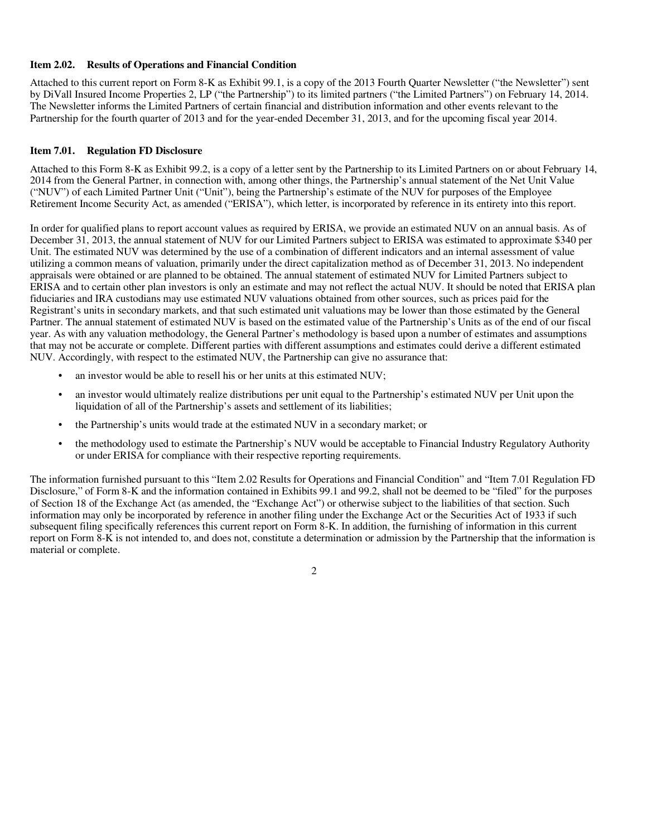### **Item 2.02. Results of Operations and Financial Condition**

Attached to this current report on Form 8-K as Exhibit 99.1, is a copy of the 2013 Fourth Quarter Newsletter ("the Newsletter") sent by DiVall Insured Income Properties 2, LP ("the Partnership") to its limited partners ("the Limited Partners") on February 14, 2014. The Newsletter informs the Limited Partners of certain financial and distribution information and other events relevant to the Partnership for the fourth quarter of 2013 and for the year-ended December 31, 2013, and for the upcoming fiscal year 2014.

# **Item 7.01. Regulation FD Disclosure**

Attached to this Form 8-K as Exhibit 99.2, is a copy of a letter sent by the Partnership to its Limited Partners on or about February 14, 2014 from the General Partner, in connection with, among other things, the Partnership's annual statement of the Net Unit Value ("NUV") of each Limited Partner Unit ("Unit"), being the Partnership's estimate of the NUV for purposes of the Employee Retirement Income Security Act, as amended ("ERISA"), which letter, is incorporated by reference in its entirety into this report.

In order for qualified plans to report account values as required by ERISA, we provide an estimated NUV on an annual basis. As of December 31, 2013, the annual statement of NUV for our Limited Partners subject to ERISA was estimated to approximate \$340 per Unit. The estimated NUV was determined by the use of a combination of different indicators and an internal assessment of value utilizing a common means of valuation, primarily under the direct capitalization method as of December 31, 2013. No independent appraisals were obtained or are planned to be obtained. The annual statement of estimated NUV for Limited Partners subject to ERISA and to certain other plan investors is only an estimate and may not reflect the actual NUV. It should be noted that ERISA plan fiduciaries and IRA custodians may use estimated NUV valuations obtained from other sources, such as prices paid for the Registrant's units in secondary markets, and that such estimated unit valuations may be lower than those estimated by the General Partner. The annual statement of estimated NUV is based on the estimated value of the Partnership's Units as of the end of our fiscal year. As with any valuation methodology, the General Partner's methodology is based upon a number of estimates and assumptions that may not be accurate or complete. Different parties with different assumptions and estimates could derive a different estimated NUV. Accordingly, with respect to the estimated NUV, the Partnership can give no assurance that:

- an investor would be able to resell his or her units at this estimated NUV;
- an investor would ultimately realize distributions per unit equal to the Partnership's estimated NUV per Unit upon the liquidation of all of the Partnership's assets and settlement of its liabilities;
- the Partnership's units would trade at the estimated NUV in a secondary market; or
- the methodology used to estimate the Partnership's NUV would be acceptable to Financial Industry Regulatory Authority or under ERISA for compliance with their respective reporting requirements.

The information furnished pursuant to this "Item 2.02 Results for Operations and Financial Condition" and "Item 7.01 Regulation FD Disclosure," of Form 8-K and the information contained in Exhibits 99.1 and 99.2, shall not be deemed to be "filed" for the purposes of Section 18 of the Exchange Act (as amended, the "Exchange Act") or otherwise subject to the liabilities of that section. Such information may only be incorporated by reference in another filing under the Exchange Act or the Securities Act of 1933 if such subsequent filing specifically references this current report on Form 8-K. In addition, the furnishing of information in this current report on Form 8-K is not intended to, and does not, constitute a determination or admission by the Partnership that the information is material or complete.

2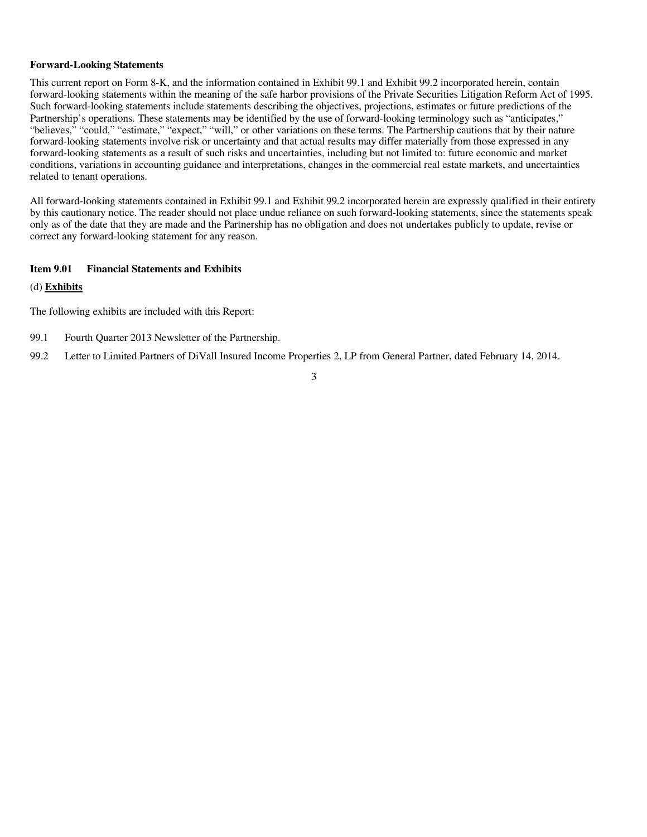## **Forward-Looking Statements**

This current report on Form 8-K, and the information contained in Exhibit 99.1 and Exhibit 99.2 incorporated herein, contain forward-looking statements within the meaning of the safe harbor provisions of the Private Securities Litigation Reform Act of 1995. Such forward-looking statements include statements describing the objectives, projections, estimates or future predictions of the Partnership's operations. These statements may be identified by the use of forward-looking terminology such as "anticipates," "believes," "could," "estimate," "expect," "will," or other variations on these terms. The Partnership cautions that by their nature forward-looking statements involve risk or uncertainty and that actual results may differ materially from those expressed in any forward-looking statements as a result of such risks and uncertainties, including but not limited to: future economic and market conditions, variations in accounting guidance and interpretations, changes in the commercial real estate markets, and uncertainties related to tenant operations.

All forward-looking statements contained in Exhibit 99.1 and Exhibit 99.2 incorporated herein are expressly qualified in their entirety by this cautionary notice. The reader should not place undue reliance on such forward-looking statements, since the statements speak only as of the date that they are made and the Partnership has no obligation and does not undertakes publicly to update, revise or correct any forward-looking statement for any reason.

# **Item 9.01 Financial Statements and Exhibits**

## (d) **Exhibits**

The following exhibits are included with this Report:

- 99.1 Fourth Quarter 2013 Newsletter of the Partnership.
- 99.2 Letter to Limited Partners of DiVall Insured Income Properties 2, LP from General Partner, dated February 14, 2014.

3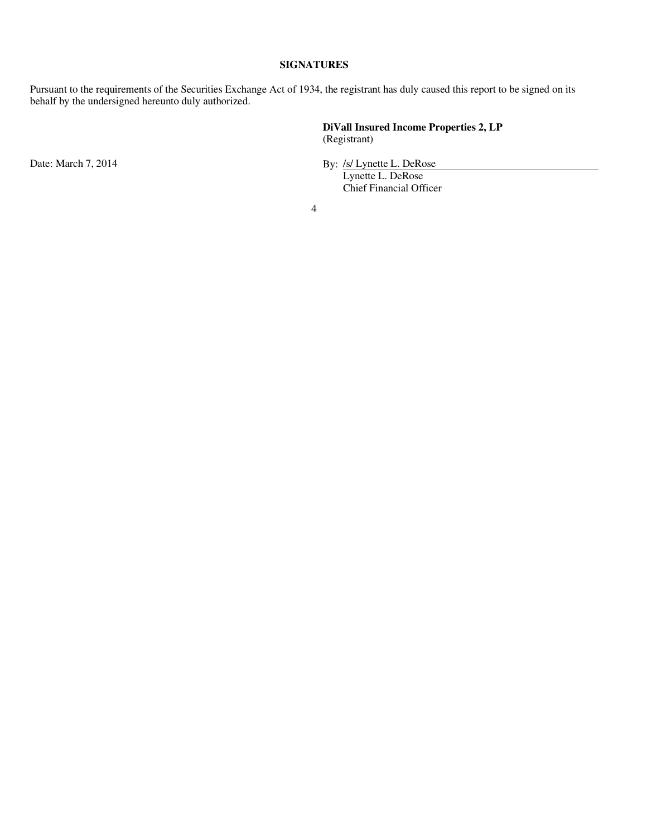# **SIGNATURES**

Pursuant to the requirements of the Securities Exchange Act of 1934, the registrant has duly caused this report to be signed on its behalf by the undersigned hereunto duly authorized.

> **DiVall Insured Income Properties 2, LP** (Registrant)

Date: March 7, 2014 **By:** /s/ Lynette L. DeRose

Lynette L. DeRose Chief Financial Officer

4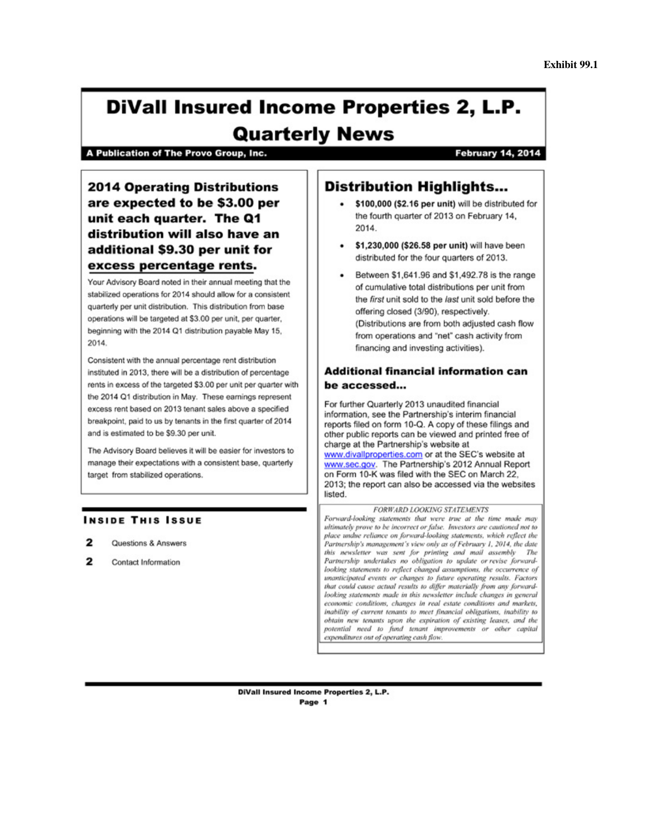# **DiVall Insured Income Properties 2, L.P. Quarterly News**

A Publication of The Provo Group, Inc.

# **February 14, 2014**

**2014 Operating Distributions** are expected to be \$3.00 per unit each quarter. The Q1 distribution will also have an additional \$9.30 per unit for excess percentage rents.

Your Advisory Board noted in their annual meeting that the stabilized operations for 2014 should allow for a consistent quarterly per unit distribution. This distribution from base operations will be targeted at \$3.00 per unit, per quarter, beginning with the 2014 Q1 distribution payable May 15, 2014.

Consistent with the annual percentage rent distribution instituted in 2013, there will be a distribution of percentage rents in excess of the targeted \$3.00 per unit per quarter with the 2014 Q1 distribution in May. These earnings represent excess rent based on 2013 tenant sales above a specified breakpoint, paid to us by tenants in the first quarter of 2014 and is estimated to be \$9.30 per unit.

The Advisory Board believes it will be easier for investors to manage their expectations with a consistent base, quarterly target from stabilized operations.

# **INSIDE THIS ISSUE**

- 2 Questions & Answers
- 2 Contact Information

# **Distribution Highlights...**

- \$100,000 (\$2.16 per unit) will be distributed for the fourth quarter of 2013 on February 14, 2014
- \$1,230,000 (\$26.58 per unit) will have been distributed for the four quarters of 2013.
- Between \$1,641.96 and \$1,492.78 is the range  $\bullet$ of cumulative total distributions per unit from the first unit sold to the last unit sold before the offering closed (3/90), respectively. (Distributions are from both adjusted cash flow from operations and "net" cash activity from financing and investing activities).

# **Additional financial information can** be accessed...

For further Quarterly 2013 unaudited financial information, see the Partnership's interim financial reports filed on form 10-Q. A copy of these filings and other public reports can be viewed and printed free of charge at the Partnership's website at www.divallproperties.com or at the SEC's website at www.sec.gov. The Partnership's 2012 Annual Report on Form 10-K was filed with the SEC on March 22, 2013; the report can also be accessed via the websites listed.

#### **FORWARD LOOKING STATEMENTS**

Forward-looking statements that were true at the time made may ultimately prove to be incorrect or false. Investors are cautioned not to place undue reliance on forward-looking statements, which reflect the Partnership's management's view only as of February 1, 2014, the date this newsletter was sent for printing and mail assembly The Partnership undertakes no obligation to update or revise forwardlooking statements to reflect changed assumptions, the occurrence of unanticipated events or changes to future operating results. Factors that could cause actual results to differ materially from any forwardlooking statements made in this newsletter include changes in general economic conditions, changes in real estate conditions and markets, inability of current tenants to meet financial obligations, inability to obtain new tenants upon the expiration of existing leases, and the potential need to fund tenant improvements or other capital expenditures out of operating cash flow.

**DiVall Insured Income Properties 2, L.P.** Page 1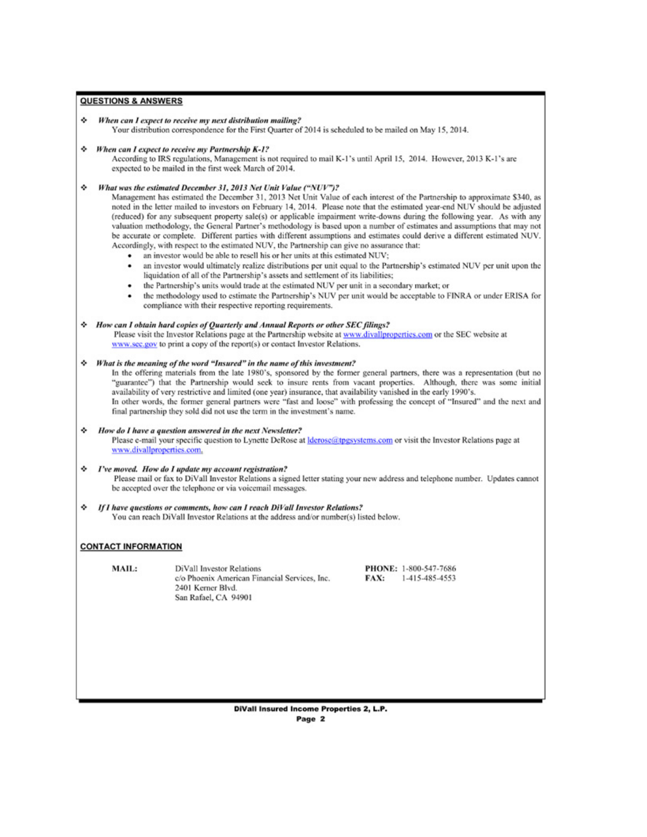### **QUESTIONS & ANSWERS**

#### When can I expect to receive my next distribution mailing? ۰

Your distribution correspondence for the First Quarter of 2014 is scheduled to be mailed on May 15, 2014.

#### ☆ When can I expect to receive my Partnership K-1?

According to IRS regulations, Management is not required to mail K-1's until April 15, 2014. However, 2013 K-1's are expected to be mailed in the first week March of 2014.

### \* What was the estimated December 31, 2013 Net Unit Value ("NUV")?

Management has estimated the December 31, 2013 Net Unit Value of each interest of the Partnership to approximate \$340, as noted in the letter mailed to investors on February 14, 2014. Please note that the estimated year-end NUV should be adjusted (reduced) for any subsequent property sale(s) or applicable impairment write-downs during the following year. As with any valuation methodology, the General Partner's methodology is based upon a number of estimates and assumptions that may not be accurate or complete. Different parties with different assumptions and estimates could derive a different estimated NUV. Accordingly, with respect to the estimated NUV, the Partnership can give no assurance that:

- an investor would be able to resell his or her units at this estimated NUV;
- an investor would ultimately realize distributions per unit equal to the Partnership's estimated NUV per unit upon the liquidation of all of the Partnership's assets and settlement of its liabilities;
- the Partnership's units would trade at the estimated NUV per unit in a secondary market; or
- the methodology used to estimate the Partnership's NUV per unit would be acceptable to FINRA or under ERISA for compliance with their respective reporting requirements.

#### \* How can I obtain hard copies of Quarterly and Annual Reports or other SEC filings?

Please visit the Investor Relations page at the Partnership website at www.divallproperties.com or the SEC website at www.sec.gov to print a copy of the report(s) or contact Investor Relations.

#### $\Leftrightarrow$  What is the meaning of the word "Insured" in the name of this investment?

In the offering materials from the late 1980's, sponsored by the former general partners, there was a representation (but no "guarantee") that the Partnership would seek to insure rents from vacant properties. Although, there was some initial availability of very restrictive and limited (one year) insurance, that availability vanished in the early 1990's. In other words, the former general partners were "fast and loose" with professing the concept of "Insured" and the next and final partnership they sold did not use the term in the investment's name.

#### How do I have a question answered in the next Newsletter?

Please e-mail your specific question to Lynette DeRose at *derose@tpgsystems.com* or visit the Investor Relations page at www.divallproperties.com.

# ☆ I've moved. How do I update my account registration?

Please mail or fax to DiVall Investor Relations a signed letter stating your new address and telephone number. Updates cannot be accepted over the telephone or via voicemail messages.

۰ If I have questions or comments, how can I reach DiVall Investor Relations? You can reach DiVall Investor Relations at the address and/or number(s) listed below.

### **CONTACT INFORMATION**

MAIL:

**DiVall Investor Relations** c/o Phoenix American Financial Services, Inc. 2401 Kerner Blvd. San Rafael, CA 94901

PHONE: 1-800-547-7686 FAX: 1-415-485-4553